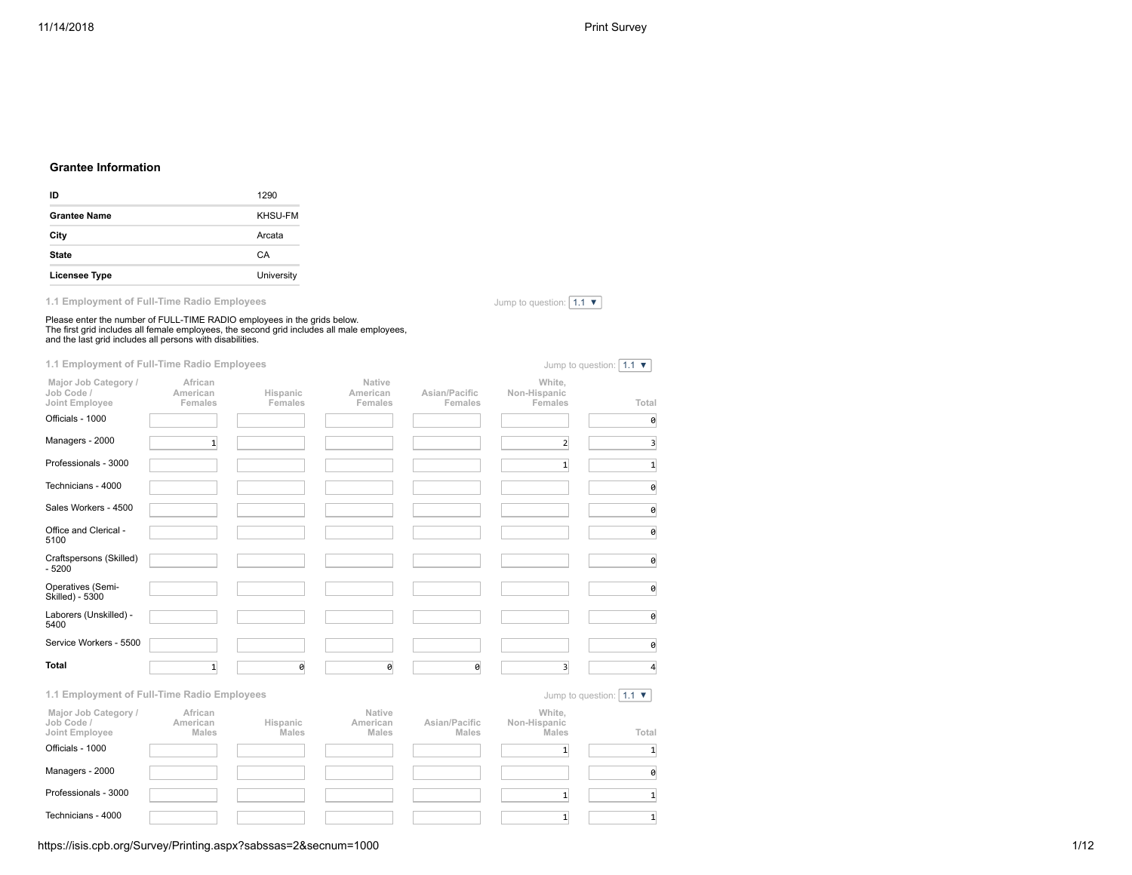# **Grantee Information**

| ID                  | 1290           |
|---------------------|----------------|
| <b>Grantee Name</b> | <b>KHSU-FM</b> |
| City                | Arcata         |
| <b>State</b>        | CA             |
| Licensee Type       | University     |

**1.1 Employment of Full-Time Radio Employees**

Jump to question:  $\boxed{1.1 \blacktriangledown}$ 

| Please enter the number of FULL-TIME RADIO employees in the grids below.<br>The first grid includes all female employees, the second grid includes all male employees, and the last grid includes all persons with disabilities. |                                |                     |                               |                          |                                   |                                              |  |
|----------------------------------------------------------------------------------------------------------------------------------------------------------------------------------------------------------------------------------|--------------------------------|---------------------|-------------------------------|--------------------------|-----------------------------------|----------------------------------------------|--|
| 1.1 Employment of Full-Time Radio Employees                                                                                                                                                                                      |                                |                     |                               |                          |                                   | Jump to question: $1.1 \times$               |  |
| Major Job Category /<br>Job Code /<br>Joint Employee                                                                                                                                                                             | African<br>American<br>Females | Hispanic<br>Females | Native<br>American<br>Females | Asian/Pacific<br>Females | White,<br>Non-Hispanic<br>Females | Total                                        |  |
| Officials - 1000                                                                                                                                                                                                                 |                                |                     |                               |                          |                                   | 0                                            |  |
| Managers - 2000                                                                                                                                                                                                                  | $\mathbf{1}$                   |                     |                               |                          | $2 \overline{ }$                  | $\overline{\mathbf{3}}$                      |  |
| Professionals - 3000                                                                                                                                                                                                             |                                |                     |                               |                          | $\mathbf{1}$                      | $\mathbf{1}$                                 |  |
| Technicians - 4000                                                                                                                                                                                                               |                                |                     |                               |                          |                                   | 0                                            |  |
| Sales Workers - 4500                                                                                                                                                                                                             |                                |                     |                               |                          |                                   | 0                                            |  |
| Office and Clerical -<br>5100                                                                                                                                                                                                    |                                |                     |                               |                          |                                   | 0                                            |  |
| Craftspersons (Skilled)<br>$-5200$                                                                                                                                                                                               |                                |                     |                               |                          |                                   | 0                                            |  |
| Operatives (Semi-<br>Skilled) - 5300                                                                                                                                                                                             |                                |                     |                               |                          |                                   | 0                                            |  |
| Laborers (Unskilled) -<br>5400                                                                                                                                                                                                   |                                |                     |                               |                          |                                   | 0                                            |  |
| Service Workers - 5500                                                                                                                                                                                                           |                                |                     |                               |                          |                                   | 0                                            |  |
| <b>Total</b>                                                                                                                                                                                                                     | $\mathbf{1}$                   | ø                   | 0                             | 0                        | $\overline{3}$                    | $\Delta$                                     |  |
| 1.1 Employment of Full-Time Radio Employees                                                                                                                                                                                      |                                |                     |                               |                          |                                   | Jump to question: $1.1$ $\blacktriangledown$ |  |
| Major Job Category /<br>Job Code /<br>Joint Employee                                                                                                                                                                             | African<br>American<br>Males   | Hispanic<br>Males   | Native<br>American<br>Males   | Asian/Pacific<br>Males   | White,<br>Non-Hispanic<br>Males   | Total                                        |  |
| Officials - 1000                                                                                                                                                                                                                 |                                |                     |                               |                          | $\mathbf{1}$                      | $\mathbf{1}$                                 |  |
| Managers - 2000                                                                                                                                                                                                                  |                                |                     |                               |                          |                                   | 0                                            |  |
| Professionals - 3000                                                                                                                                                                                                             |                                |                     |                               |                          | $\mathbf{1}$                      | $\mathbf{1}$                                 |  |
|                                                                                                                                                                                                                                  |                                |                     |                               |                          | $\mathbf{1}$                      | $\mathbf{1}$                                 |  |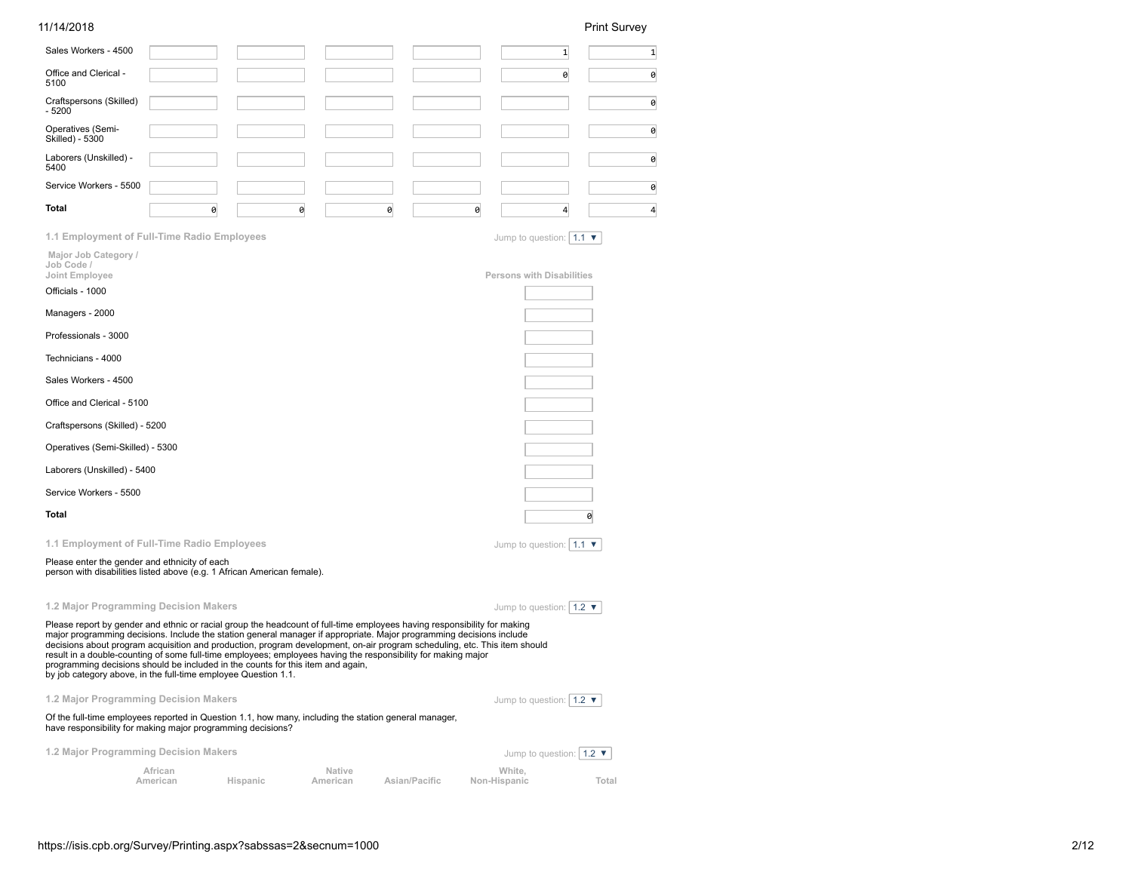| 11/14/2018                                                                                                                                                                                                                                                                                                                                                                                                                                                                                                                                                                                                                                          |                     |          |                    |   |               |                                                    | <b>Print Survey</b> |
|-----------------------------------------------------------------------------------------------------------------------------------------------------------------------------------------------------------------------------------------------------------------------------------------------------------------------------------------------------------------------------------------------------------------------------------------------------------------------------------------------------------------------------------------------------------------------------------------------------------------------------------------------------|---------------------|----------|--------------------|---|---------------|----------------------------------------------------|---------------------|
| Sales Workers - 4500                                                                                                                                                                                                                                                                                                                                                                                                                                                                                                                                                                                                                                |                     |          |                    |   |               | $\mathbf{1}$                                       | $\mathbf{1}$        |
| Office and Clerical -<br>5100                                                                                                                                                                                                                                                                                                                                                                                                                                                                                                                                                                                                                       |                     |          |                    |   |               | 0                                                  | 0                   |
| Craftspersons (Skilled)<br>$-5200$                                                                                                                                                                                                                                                                                                                                                                                                                                                                                                                                                                                                                  |                     |          |                    |   |               |                                                    | 0                   |
| Operatives (Semi-<br>Skilled) - 5300                                                                                                                                                                                                                                                                                                                                                                                                                                                                                                                                                                                                                |                     |          |                    |   |               |                                                    | 0                   |
| Laborers (Unskilled) -<br>5400                                                                                                                                                                                                                                                                                                                                                                                                                                                                                                                                                                                                                      |                     |          |                    |   |               |                                                    | 0                   |
| Service Workers - 5500                                                                                                                                                                                                                                                                                                                                                                                                                                                                                                                                                                                                                              |                     |          |                    |   |               |                                                    | 0                   |
| Total                                                                                                                                                                                                                                                                                                                                                                                                                                                                                                                                                                                                                                               | 0                   |          | 0                  | 0 | 0             | 4                                                  | 4                   |
| 1.1 Employment of Full-Time Radio Employees                                                                                                                                                                                                                                                                                                                                                                                                                                                                                                                                                                                                         |                     |          |                    |   |               | Jump to question: $ 1.1 \blacktriangleright$       |                     |
| Major Job Category /<br>Job Code /<br>Joint Employee                                                                                                                                                                                                                                                                                                                                                                                                                                                                                                                                                                                                |                     |          |                    |   |               | <b>Persons with Disabilities</b>                   |                     |
| Officials - 1000                                                                                                                                                                                                                                                                                                                                                                                                                                                                                                                                                                                                                                    |                     |          |                    |   |               |                                                    |                     |
| Managers - 2000                                                                                                                                                                                                                                                                                                                                                                                                                                                                                                                                                                                                                                     |                     |          |                    |   |               |                                                    |                     |
| Professionals - 3000                                                                                                                                                                                                                                                                                                                                                                                                                                                                                                                                                                                                                                |                     |          |                    |   |               |                                                    |                     |
| Technicians - 4000                                                                                                                                                                                                                                                                                                                                                                                                                                                                                                                                                                                                                                  |                     |          |                    |   |               |                                                    |                     |
| Sales Workers - 4500                                                                                                                                                                                                                                                                                                                                                                                                                                                                                                                                                                                                                                |                     |          |                    |   |               |                                                    |                     |
| Office and Clerical - 5100                                                                                                                                                                                                                                                                                                                                                                                                                                                                                                                                                                                                                          |                     |          |                    |   |               |                                                    |                     |
| Craftspersons (Skilled) - 5200                                                                                                                                                                                                                                                                                                                                                                                                                                                                                                                                                                                                                      |                     |          |                    |   |               |                                                    |                     |
| Operatives (Semi-Skilled) - 5300                                                                                                                                                                                                                                                                                                                                                                                                                                                                                                                                                                                                                    |                     |          |                    |   |               |                                                    |                     |
| Laborers (Unskilled) - 5400                                                                                                                                                                                                                                                                                                                                                                                                                                                                                                                                                                                                                         |                     |          |                    |   |               |                                                    |                     |
| Service Workers - 5500                                                                                                                                                                                                                                                                                                                                                                                                                                                                                                                                                                                                                              |                     |          |                    |   |               |                                                    |                     |
| Total                                                                                                                                                                                                                                                                                                                                                                                                                                                                                                                                                                                                                                               |                     |          |                    |   |               |                                                    | 0                   |
| 1.1 Employment of Full-Time Radio Employees                                                                                                                                                                                                                                                                                                                                                                                                                                                                                                                                                                                                         |                     |          |                    |   |               | Jump to question: $\vert 1.1 \blacktriangledown$   |                     |
| Please enter the gender and ethnicity of each<br>person with disabilities listed above (e.g. 1 African American female).                                                                                                                                                                                                                                                                                                                                                                                                                                                                                                                            |                     |          |                    |   |               |                                                    |                     |
| 1.2 Major Programming Decision Makers                                                                                                                                                                                                                                                                                                                                                                                                                                                                                                                                                                                                               |                     |          |                    |   |               | Jump to question: $\vert$ 1.2 $\blacktriangledown$ |                     |
| Please report by gender and ethnic or racial group the headcount of full-time employees having responsibility for making<br>major programming decisions. Include the station general manager if appropriate. Major programming decisions include<br>decisions about program acquisition and production, program development, on-air program scheduling, etc. This item should<br>result in a double-counting of some full-time employees; employees having the responsibility for making major<br>programming decisions should be included in the counts for this item and again,<br>by job category above, in the full-time employee Question 1.1. |                     |          |                    |   |               |                                                    |                     |
| 1.2 Major Programming Decision Makers                                                                                                                                                                                                                                                                                                                                                                                                                                                                                                                                                                                                               |                     |          |                    |   |               | Jump to question: $\vert 1.2 \rangle$              |                     |
| Of the full-time employees reported in Question 1.1, how many, including the station general manager,<br>have responsibility for making major programming decisions?                                                                                                                                                                                                                                                                                                                                                                                                                                                                                |                     |          |                    |   |               |                                                    |                     |
| 1.2 Major Programming Decision Makers                                                                                                                                                                                                                                                                                                                                                                                                                                                                                                                                                                                                               |                     |          |                    |   |               | Jump to question: $ 1.2 \blacktriangleright$       |                     |
|                                                                                                                                                                                                                                                                                                                                                                                                                                                                                                                                                                                                                                                     | African<br>American | Hispanic | Native<br>American |   | Asian/Pacific | White,<br>Non-Hispanic                             | Total               |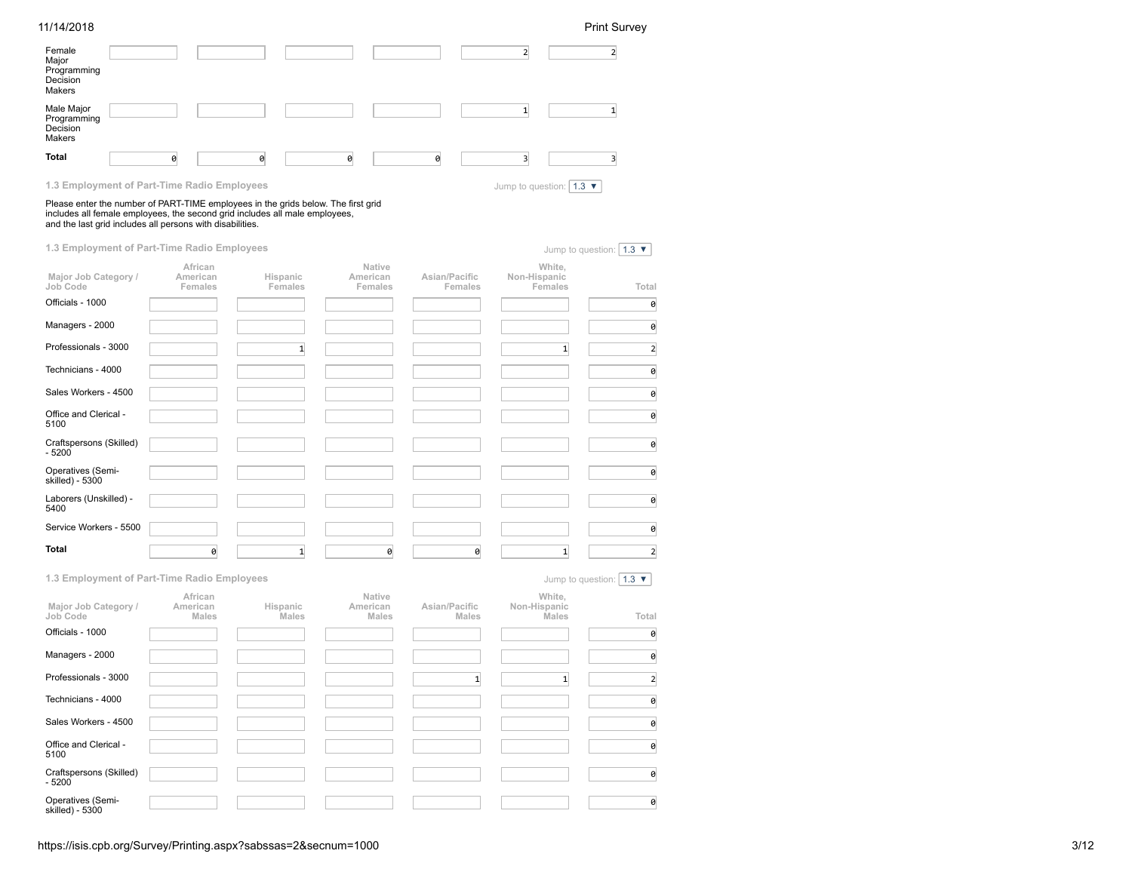| 11/14/2018                                                                                                                                                                                                                                                                   |                                |                     |                               |                          |                                                  | <b>Print Survey</b>                        |
|------------------------------------------------------------------------------------------------------------------------------------------------------------------------------------------------------------------------------------------------------------------------------|--------------------------------|---------------------|-------------------------------|--------------------------|--------------------------------------------------|--------------------------------------------|
| Female<br>Major<br>Programming<br>Decision<br>Makers                                                                                                                                                                                                                         |                                |                     |                               |                          | $\overline{2}$                                   | $\overline{2}$                             |
| Male Major<br>Programming<br>Decision<br>Makers                                                                                                                                                                                                                              |                                |                     |                               |                          | $\mathbf{1}$                                     | $\mathbf{1}$                               |
| <b>Total</b>                                                                                                                                                                                                                                                                 | 0                              | 0                   | 0                             | 0                        | $\overline{\mathbf{3}}$                          | 3                                          |
| 1.3 Employment of Part-Time Radio Employees<br>Please enter the number of PART-TIME employees in the grids below. The first grid<br>includes all female employees, the second grid includes all male employees,<br>and the last grid includes all persons with disabilities. |                                |                     |                               |                          | Jump to question: $\vert 1.3 \blacktriangledown$ |                                            |
| 1.3 Employment of Part-Time Radio Employees                                                                                                                                                                                                                                  |                                |                     |                               |                          |                                                  | Jump to question: $\vert 1.3 \nabla \vert$ |
| Major Job Category /<br>Job Code                                                                                                                                                                                                                                             | African<br>American<br>Females | Hispanic<br>Females | Native<br>American<br>Females | Asian/Pacific<br>Females | White,<br>Non-Hispanic<br>Females                | Total                                      |
| Officials - 1000                                                                                                                                                                                                                                                             |                                |                     |                               |                          |                                                  | 0                                          |
| Managers - 2000                                                                                                                                                                                                                                                              |                                |                     |                               |                          |                                                  | 0                                          |
| Professionals - 3000                                                                                                                                                                                                                                                         |                                | $1\overline{ }$     |                               |                          | $\mathbf{1}$                                     | $\overline{2}$                             |
| Technicians - 4000                                                                                                                                                                                                                                                           |                                |                     |                               |                          |                                                  | 0                                          |
| Sales Workers - 4500                                                                                                                                                                                                                                                         |                                |                     |                               |                          |                                                  | 0                                          |
| Office and Clerical -<br>5100                                                                                                                                                                                                                                                |                                |                     |                               |                          |                                                  | 0                                          |
| Craftspersons (Skilled)<br>$-5200$                                                                                                                                                                                                                                           |                                |                     |                               |                          |                                                  | 0                                          |
| Operatives (Semi-<br>skilled) - 5300                                                                                                                                                                                                                                         |                                |                     |                               |                          |                                                  | 0                                          |
| Laborers (Unskilled) -<br>5400                                                                                                                                                                                                                                               |                                |                     |                               |                          |                                                  | 0                                          |
| Service Workers - 5500                                                                                                                                                                                                                                                       |                                |                     |                               |                          |                                                  | 0                                          |
| <b>Total</b>                                                                                                                                                                                                                                                                 | 0                              | $1\overline{ }$     | 0                             | 0                        | $\mathbf{1}$                                     | $\overline{2}$                             |

| 1.3 Employment of Part-Time Radio Employees          |                                     |                          |                                    |                               |                                        | Jump to question: $\vert$ 1.3 $\blacktriangledown$ |
|------------------------------------------------------|-------------------------------------|--------------------------|------------------------------------|-------------------------------|----------------------------------------|----------------------------------------------------|
| Major Job Category /<br>Job Code<br>Officials - 1000 | African<br>American<br><b>Males</b> | Hispanic<br><b>Males</b> | Native<br>American<br><b>Males</b> | Asian/Pacific<br><b>Males</b> | White,<br>Non-Hispanic<br><b>Males</b> | Total<br>0                                         |
| Managers - 2000                                      |                                     |                          |                                    |                               |                                        | 0                                                  |
| Professionals - 3000                                 |                                     |                          |                                    | $\mathbf{1}$                  | 1                                      | $\overline{2}$                                     |
| Technicians - 4000                                   |                                     |                          |                                    |                               |                                        | 0                                                  |
| Sales Workers - 4500                                 |                                     |                          |                                    |                               |                                        | 0                                                  |
| Office and Clerical -<br>5100                        |                                     |                          |                                    |                               |                                        | 0                                                  |
| Craftspersons (Skilled)<br>$-5200$                   |                                     |                          |                                    |                               |                                        | 0                                                  |
| Operatives (Semi-<br>skilled) - 5300                 |                                     |                          |                                    |                               |                                        | 0                                                  |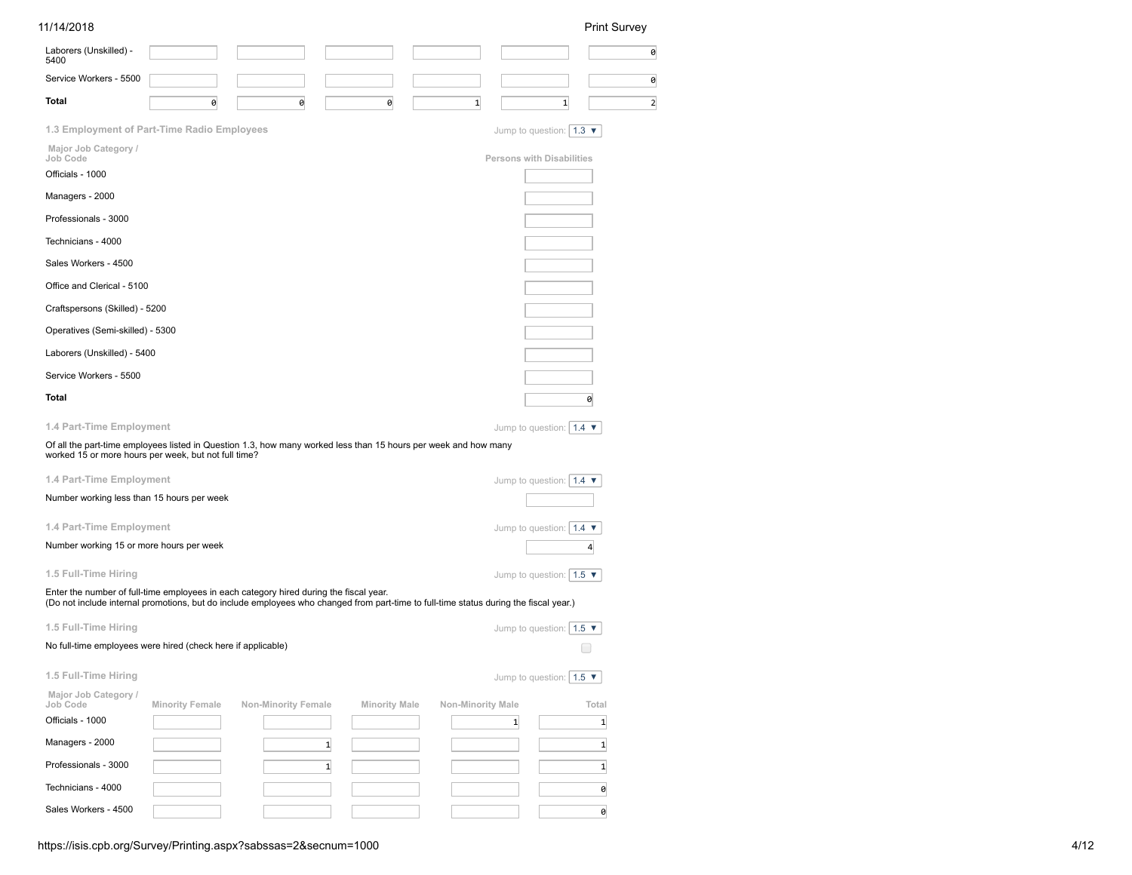| 11/14/2018                                                   |                        |                                                                                                                                                                                                                                 |                      |                   |                                                   | <b>Print Survey</b>                           |
|--------------------------------------------------------------|------------------------|---------------------------------------------------------------------------------------------------------------------------------------------------------------------------------------------------------------------------------|----------------------|-------------------|---------------------------------------------------|-----------------------------------------------|
| Laborers (Unskilled) -<br>5400                               |                        |                                                                                                                                                                                                                                 |                      |                   |                                                   | 0                                             |
| Service Workers - 5500                                       |                        |                                                                                                                                                                                                                                 |                      |                   |                                                   | 0                                             |
| Total                                                        | 0                      | 0                                                                                                                                                                                                                               | 0                    | $\mathbf{1}$      | $\mathbf{1}$                                      | $\overline{2}$                                |
| 1.3 Employment of Part-Time Radio Employees                  |                        |                                                                                                                                                                                                                                 |                      |                   | Jump to question: $\mid$ 1.3 $\blacktriangledown$ |                                               |
| Major Job Category /<br>Job Code                             |                        |                                                                                                                                                                                                                                 |                      |                   | Persons with Disabilities                         |                                               |
| Officials - 1000                                             |                        |                                                                                                                                                                                                                                 |                      |                   |                                                   |                                               |
| Managers - 2000                                              |                        |                                                                                                                                                                                                                                 |                      |                   |                                                   |                                               |
| Professionals - 3000                                         |                        |                                                                                                                                                                                                                                 |                      |                   |                                                   |                                               |
| Technicians - 4000                                           |                        |                                                                                                                                                                                                                                 |                      |                   |                                                   |                                               |
| Sales Workers - 4500                                         |                        |                                                                                                                                                                                                                                 |                      |                   |                                                   |                                               |
| Office and Clerical - 5100                                   |                        |                                                                                                                                                                                                                                 |                      |                   |                                                   |                                               |
| Craftspersons (Skilled) - 5200                               |                        |                                                                                                                                                                                                                                 |                      |                   |                                                   |                                               |
| Operatives (Semi-skilled) - 5300                             |                        |                                                                                                                                                                                                                                 |                      |                   |                                                   |                                               |
| Laborers (Unskilled) - 5400                                  |                        |                                                                                                                                                                                                                                 |                      |                   |                                                   |                                               |
| Service Workers - 5500                                       |                        |                                                                                                                                                                                                                                 |                      |                   |                                                   |                                               |
| Total                                                        |                        |                                                                                                                                                                                                                                 |                      |                   |                                                   | 0                                             |
| 1.4 Part-Time Employment                                     |                        |                                                                                                                                                                                                                                 |                      |                   | Jump to question: $\vert 1.4 \blacktriangledown$  |                                               |
| worked 15 or more hours per week, but not full time?         |                        | Of all the part-time employees listed in Question 1.3, how many worked less than 15 hours per week and how many                                                                                                                 |                      |                   |                                                   |                                               |
| 1.4 Part-Time Employment                                     |                        |                                                                                                                                                                                                                                 |                      |                   | Jump to question: $\vert 1.4 \blacktriangledown$  |                                               |
| Number working less than 15 hours per week                   |                        |                                                                                                                                                                                                                                 |                      |                   |                                                   |                                               |
| 1.4 Part-Time Employment                                     |                        |                                                                                                                                                                                                                                 |                      |                   | Jump to question: $\vert 1.4 \blacktriangledown$  |                                               |
| Number working 15 or more hours per week                     |                        |                                                                                                                                                                                                                                 |                      |                   |                                                   | 4                                             |
| 1.5 Full-Time Hiring                                         |                        |                                                                                                                                                                                                                                 |                      |                   | Jump to question: $\vert 1.5 \rangle$             |                                               |
|                                                              |                        | Enter the number of full-time employees in each category hired during the fiscal year.<br>(Do not include internal promotions, but do include employees who changed from part-time to full-time status during the fiscal year.) |                      |                   |                                                   |                                               |
| 1.5 Full-Time Hiring                                         |                        |                                                                                                                                                                                                                                 |                      |                   | Jump to question: $\vert 1.5 \rangle$             |                                               |
| No full-time employees were hired (check here if applicable) |                        |                                                                                                                                                                                                                                 |                      |                   |                                                   | $\left( \begin{array}{c} \end{array} \right)$ |
| 1.5 Full-Time Hiring                                         |                        |                                                                                                                                                                                                                                 |                      |                   | Jump to question: $\vert 1.5 \nabla \vert$        |                                               |
| Major Job Category /<br>Job Code                             | <b>Minority Female</b> | <b>Non-Minority Female</b>                                                                                                                                                                                                      | <b>Minority Male</b> | Non-Minority Male |                                                   | Total                                         |
| Officials - 1000                                             |                        |                                                                                                                                                                                                                                 |                      |                   | $\mathbf{1}$                                      | $1\vert$                                      |
| Managers - 2000                                              |                        | $\mathbf{1}$                                                                                                                                                                                                                    |                      |                   |                                                   | $1\overline{ }$                               |
| Professionals - 3000                                         |                        | $\mathbf{1}$                                                                                                                                                                                                                    |                      |                   |                                                   | $1\vert$                                      |
| Technicians - 4000                                           |                        |                                                                                                                                                                                                                                 |                      |                   |                                                   | 0                                             |
| Sales Workers - 4500                                         |                        |                                                                                                                                                                                                                                 |                      |                   |                                                   | ø                                             |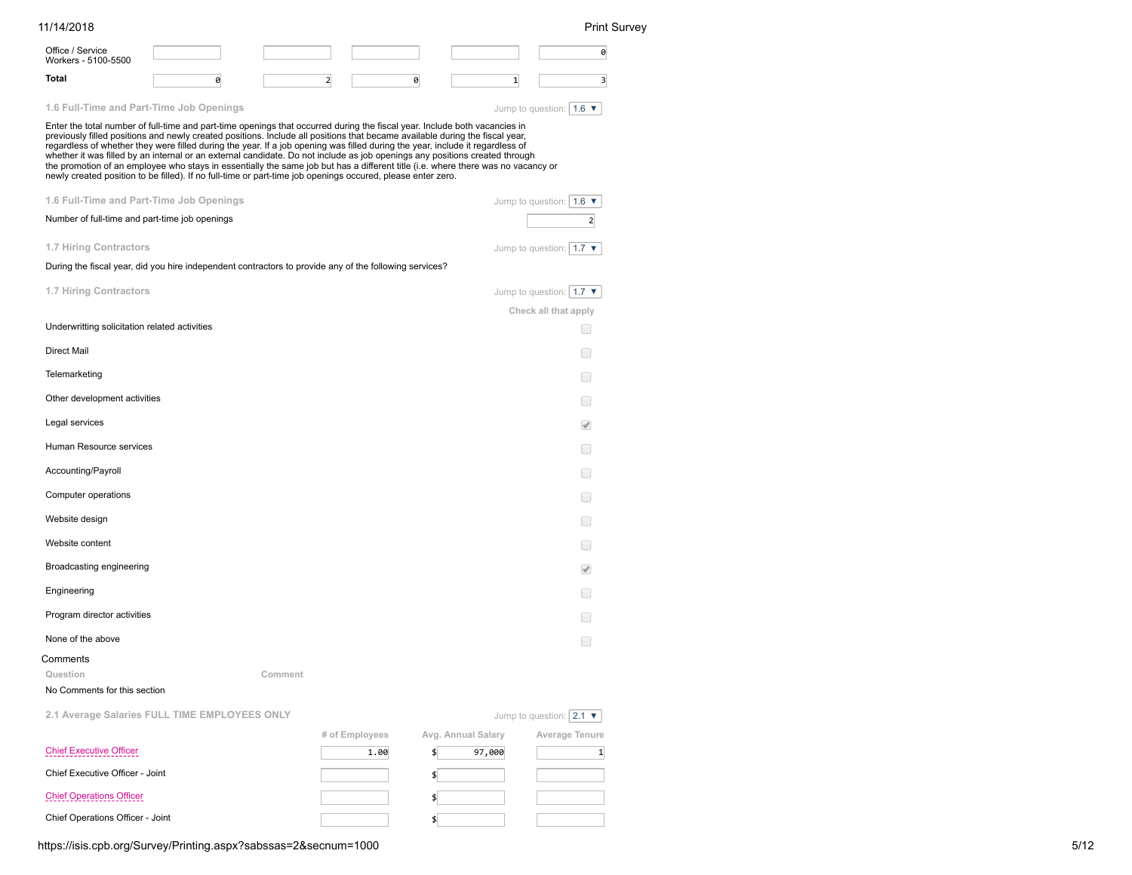| 11/14/2018                                     |                                                                                                                                                                                                                                                                                                                                                                                                                                                                                                                                                                                                                                                                                                                                                                               |                |            |                                                    | <b>Print Survey</b>                           |
|------------------------------------------------|-------------------------------------------------------------------------------------------------------------------------------------------------------------------------------------------------------------------------------------------------------------------------------------------------------------------------------------------------------------------------------------------------------------------------------------------------------------------------------------------------------------------------------------------------------------------------------------------------------------------------------------------------------------------------------------------------------------------------------------------------------------------------------|----------------|------------|----------------------------------------------------|-----------------------------------------------|
| Office / Service<br>Workers - 5100-5500        |                                                                                                                                                                                                                                                                                                                                                                                                                                                                                                                                                                                                                                                                                                                                                                               |                |            |                                                    | 0                                             |
| <b>Total</b>                                   | 0                                                                                                                                                                                                                                                                                                                                                                                                                                                                                                                                                                                                                                                                                                                                                                             | 2              | 0          | $\mathbf{1}$                                       | $\overline{\mathbf{3}}$                       |
| 1.6 Full-Time and Part-Time Job Openings       |                                                                                                                                                                                                                                                                                                                                                                                                                                                                                                                                                                                                                                                                                                                                                                               |                |            | Jump to question: $\vert 1.6 \blacktriangledown$   |                                               |
|                                                | Enter the total number of full-time and part-time openings that occurred during the fiscal year. Include both vacancies in<br>previously filled positions and newly created positions. Include all positions that became available during the fiscal year,<br>regardless of whether they were filled during the year. If a job opening was filled during the year, include it regardless of<br>whether it was filled by an internal or an external candidate. Do not include as job openings any positions created through<br>the promotion of an employee who stays in essentially the same job but has a different title (i.e. where there was no vacancy or<br>newly created position to be filled). If no full-time or part-time job openings occured, please enter zero. |                |            |                                                    |                                               |
| 1.6 Full-Time and Part-Time Job Openings       |                                                                                                                                                                                                                                                                                                                                                                                                                                                                                                                                                                                                                                                                                                                                                                               |                |            | Jump to question: $\vert 1.6 \blacktriangledown$   |                                               |
| Number of full-time and part-time job openings |                                                                                                                                                                                                                                                                                                                                                                                                                                                                                                                                                                                                                                                                                                                                                                               |                |            |                                                    | $\overline{2}$                                |
| 1.7 Hiring Contractors                         |                                                                                                                                                                                                                                                                                                                                                                                                                                                                                                                                                                                                                                                                                                                                                                               |                |            | Jump to question: $\vert 1.7 \blacktriangledown$   |                                               |
|                                                | During the fiscal year, did you hire independent contractors to provide any of the following services?                                                                                                                                                                                                                                                                                                                                                                                                                                                                                                                                                                                                                                                                        |                |            |                                                    |                                               |
| 1.7 Hiring Contractors                         |                                                                                                                                                                                                                                                                                                                                                                                                                                                                                                                                                                                                                                                                                                                                                                               |                |            | Jump to question: $\vert$ 1.7 $\blacktriangledown$ |                                               |
|                                                |                                                                                                                                                                                                                                                                                                                                                                                                                                                                                                                                                                                                                                                                                                                                                                               |                |            | Check all that apply                               |                                               |
| Underwritting solicitation related activities  |                                                                                                                                                                                                                                                                                                                                                                                                                                                                                                                                                                                                                                                                                                                                                                               |                |            |                                                    | m.                                            |
| <b>Direct Mail</b>                             |                                                                                                                                                                                                                                                                                                                                                                                                                                                                                                                                                                                                                                                                                                                                                                               |                |            |                                                    |                                               |
| Telemarketing                                  |                                                                                                                                                                                                                                                                                                                                                                                                                                                                                                                                                                                                                                                                                                                                                                               |                |            |                                                    | $\Box$                                        |
| Other development activities                   |                                                                                                                                                                                                                                                                                                                                                                                                                                                                                                                                                                                                                                                                                                                                                                               |                |            |                                                    | $\left( \begin{array}{c} \end{array} \right)$ |
| Legal services                                 |                                                                                                                                                                                                                                                                                                                                                                                                                                                                                                                                                                                                                                                                                                                                                                               |                |            |                                                    | $\overline{\mathscr{A}}$                      |
| Human Resource services                        |                                                                                                                                                                                                                                                                                                                                                                                                                                                                                                                                                                                                                                                                                                                                                                               |                |            |                                                    |                                               |
| Accounting/Payroll                             |                                                                                                                                                                                                                                                                                                                                                                                                                                                                                                                                                                                                                                                                                                                                                                               |                |            |                                                    |                                               |
| Computer operations                            |                                                                                                                                                                                                                                                                                                                                                                                                                                                                                                                                                                                                                                                                                                                                                                               |                |            |                                                    | $\Box$                                        |
| Website design                                 |                                                                                                                                                                                                                                                                                                                                                                                                                                                                                                                                                                                                                                                                                                                                                                               |                |            |                                                    |                                               |
| Website content                                |                                                                                                                                                                                                                                                                                                                                                                                                                                                                                                                                                                                                                                                                                                                                                                               |                |            |                                                    | $\Box$                                        |
| Broadcasting engineering                       |                                                                                                                                                                                                                                                                                                                                                                                                                                                                                                                                                                                                                                                                                                                                                                               |                |            |                                                    | $\overline{\mathscr{A}}$                      |
| Engineering                                    |                                                                                                                                                                                                                                                                                                                                                                                                                                                                                                                                                                                                                                                                                                                                                                               |                |            |                                                    |                                               |
| Program director activities                    |                                                                                                                                                                                                                                                                                                                                                                                                                                                                                                                                                                                                                                                                                                                                                                               |                |            |                                                    | $\Box$                                        |
| None of the above                              |                                                                                                                                                                                                                                                                                                                                                                                                                                                                                                                                                                                                                                                                                                                                                                               |                |            |                                                    | H                                             |
| Comments                                       |                                                                                                                                                                                                                                                                                                                                                                                                                                                                                                                                                                                                                                                                                                                                                                               |                |            |                                                    |                                               |
| Question                                       |                                                                                                                                                                                                                                                                                                                                                                                                                                                                                                                                                                                                                                                                                                                                                                               | Comment        |            |                                                    |                                               |
| No Comments for this section                   |                                                                                                                                                                                                                                                                                                                                                                                                                                                                                                                                                                                                                                                                                                                                                                               |                |            |                                                    |                                               |
|                                                | 2.1 Average Salaries FULL TIME EMPLOYEES ONLY                                                                                                                                                                                                                                                                                                                                                                                                                                                                                                                                                                                                                                                                                                                                 |                |            | Jump to question: $ 2.1 \blacktriangledown$        |                                               |
| <b>Chief Executive Officer</b>                 |                                                                                                                                                                                                                                                                                                                                                                                                                                                                                                                                                                                                                                                                                                                                                                               | # of Employees | 1.00<br>\$ | Avg. Annual Salary<br>Average Tenure<br>97,000     | $\mathbf{1}$                                  |
| Chief Executive Officer - Joint                |                                                                                                                                                                                                                                                                                                                                                                                                                                                                                                                                                                                                                                                                                                                                                                               |                | \$         |                                                    |                                               |
| <b>Chief Operations Officer</b>                |                                                                                                                                                                                                                                                                                                                                                                                                                                                                                                                                                                                                                                                                                                                                                                               |                | \$         |                                                    |                                               |
| Chief Operations Officer - Joint               |                                                                                                                                                                                                                                                                                                                                                                                                                                                                                                                                                                                                                                                                                                                                                                               |                | \$         |                                                    |                                               |

https://isis.cpb.org/Survey/Printing.aspx?sabssas=2&secnum=1000 5/12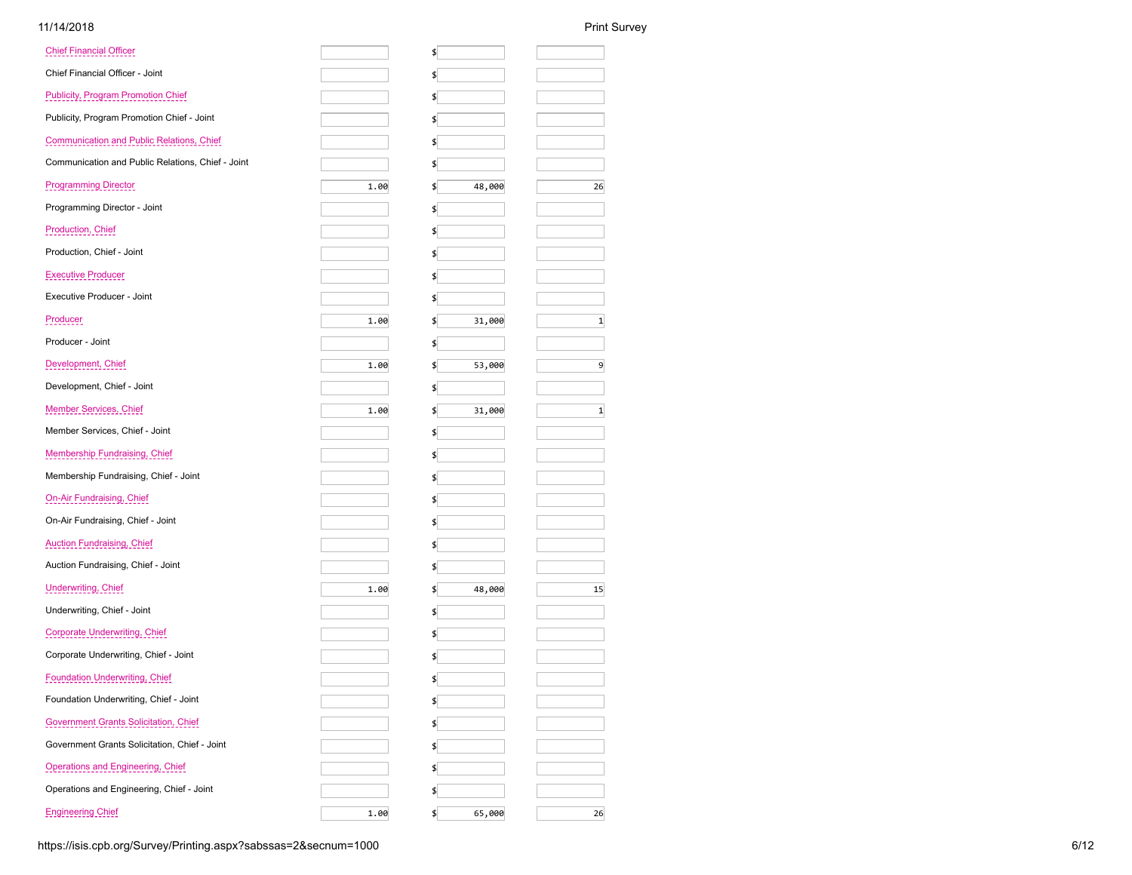| <b>Chief Financial Officer</b>                    |      | \$           |              |
|---------------------------------------------------|------|--------------|--------------|
| Chief Financial Officer - Joint                   |      | \$           |              |
| <b>Publicity, Program Promotion Chief</b>         |      | \$           |              |
| Publicity, Program Promotion Chief - Joint        |      | \$           |              |
| <b>Communication and Public Relations, Chief</b>  |      | \$           |              |
| Communication and Public Relations, Chief - Joint |      | \$           |              |
| <b>Programming Director</b>                       | 1.00 | 48,000<br>\$ | 26           |
| Programming Director - Joint                      |      | \$           |              |
| Production, Chief                                 |      | \$           |              |
| Production, Chief - Joint                         |      | \$           |              |
| Executive Producer                                |      | \$           |              |
| Executive Producer - Joint                        |      | \$           |              |
| Producer                                          | 1.00 | \$<br>31,000 | $\mathbf{1}$ |
| Producer - Joint                                  |      | \$           |              |
| Development, Chief                                | 1.00 | 53,000<br>\$ | 9            |
| Development, Chief - Joint                        |      | \$           |              |
| Member Services, Chief                            | 1.00 | 31,000<br>\$ | $\mathbf{1}$ |
| Member Services, Chief - Joint                    |      | \$           |              |
| Membership Fundraising, Chief                     |      | \$           |              |
| Membership Fundraising, Chief - Joint             |      | \$           |              |
| <b>On-Air Fundraising, Chief</b>                  |      | \$           |              |
| On-Air Fundraising, Chief - Joint                 |      | \$           |              |
| <b>Auction Fundraising, Chief</b>                 |      | \$           |              |
| Auction Fundraising, Chief - Joint                |      | \$           |              |
| Underwriting, Chief                               | 1.00 | 48,000<br>\$ | 15           |
| Underwriting, Chief - Joint                       |      | \$           |              |
| Corporate Underwriting, Chief                     |      | \$           |              |
| Corporate Underwriting, Chief - Joint             |      | \$           |              |
| <b>Foundation Underwriting, Chief</b>             |      | \$           |              |
| Foundation Underwriting, Chief - Joint            |      | \$           |              |
| Government Grants Solicitation, Chief             |      | \$           |              |
| Government Grants Solicitation, Chief - Joint     |      | \$           |              |
| <b>Operations and Engineering, Chief</b>          |      | \$           |              |
| Operations and Engineering, Chief - Joint         |      |              |              |
| <b>Engineering Chief</b>                          | 1.00 | 65,000<br>\$ | 26           |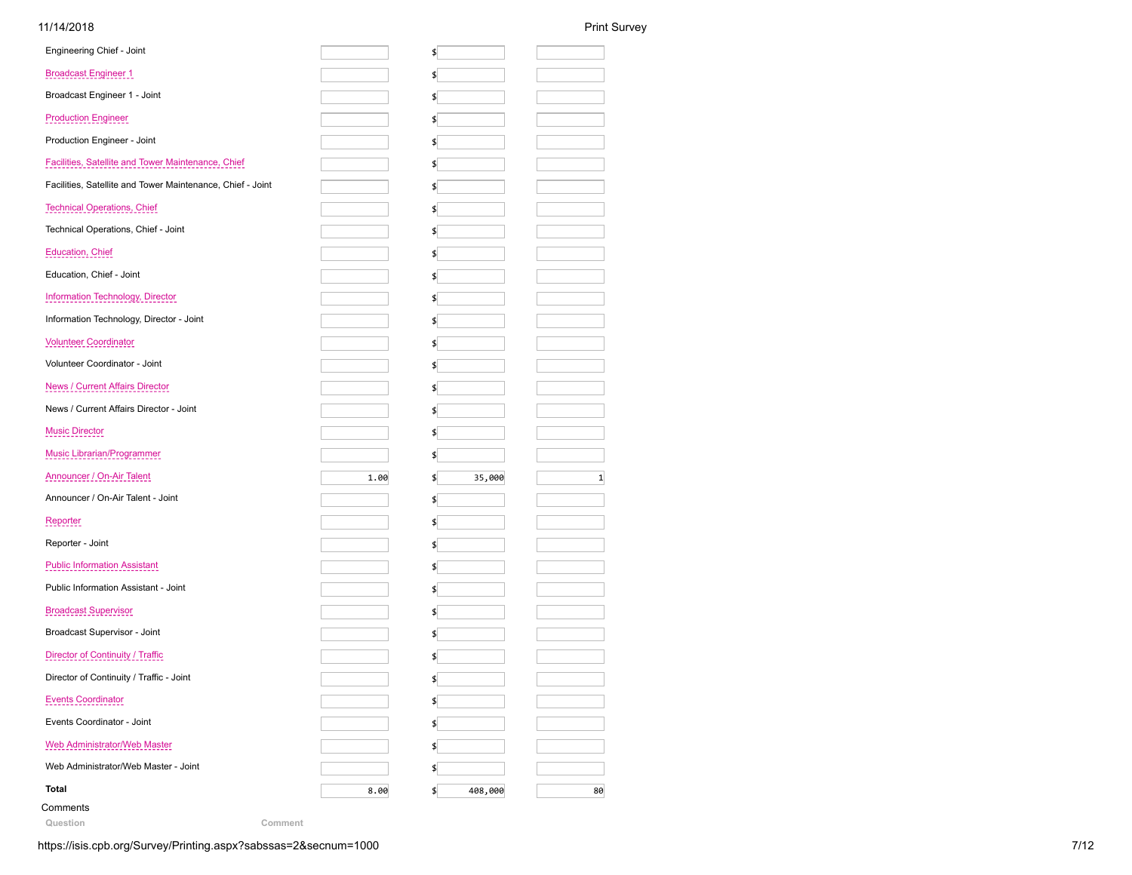| Engineering Chief - Joint                                  |      | \$           |              |
|------------------------------------------------------------|------|--------------|--------------|
| <b>Broadcast Engineer 1</b>                                |      | \$           |              |
| Broadcast Engineer 1 - Joint                               |      | \$           |              |
| <b>Production Engineer</b>                                 |      | \$           |              |
| Production Engineer - Joint                                |      | \$           |              |
| Facilities, Satellite and Tower Maintenance, Chief         |      | \$           |              |
| Facilities, Satellite and Tower Maintenance, Chief - Joint |      | \$           |              |
| <b>Technical Operations, Chief</b>                         |      | \$           |              |
| Technical Operations, Chief - Joint                        |      | \$           |              |
| <b>Education, Chief</b>                                    |      | \$           |              |
| Education, Chief - Joint                                   |      | \$           |              |
| Information Technology, Director                           |      | \$           |              |
| Information Technology, Director - Joint                   |      | \$           |              |
| <b>Volunteer Coordinator</b>                               |      | \$           |              |
| Volunteer Coordinator - Joint                              |      | \$           |              |
| <b>News / Current Affairs Director</b>                     |      | \$           |              |
| News / Current Affairs Director - Joint                    |      | \$           |              |
| <b>Music Director</b>                                      |      | \$           |              |
| <b>Music Librarian/Programmer</b>                          |      | \$           |              |
| Announcer / On-Air Talent                                  | 1.00 | 35,000<br>\$ | $\mathbf{1}$ |
| Announcer / On-Air Talent - Joint                          |      | \$           |              |
| Reporter                                                   |      | \$           |              |
| Reporter - Joint                                           |      | \$           |              |
| <b>Public Information Assistant</b>                        |      | \$           |              |
| Public Information Assistant - Joint                       |      | \$           |              |
| <b>Broadcast Supervisor</b>                                |      | \$           |              |
| Broadcast Supervisor - Joint                               |      | \$           |              |
| Director of Continuity / Traffic                           |      | \$           |              |
| Director of Continuity / Traffic - Joint                   |      | \$           |              |
| <b>Events Coordinator</b>                                  |      | \$           |              |
| Events Coordinator - Joint                                 |      | \$           |              |
| Web Administrator/Web Master                               |      |              |              |
|                                                            |      | \$           |              |
| Web Administrator/Web Master - Joint                       |      | \$           |              |

**Question Comment**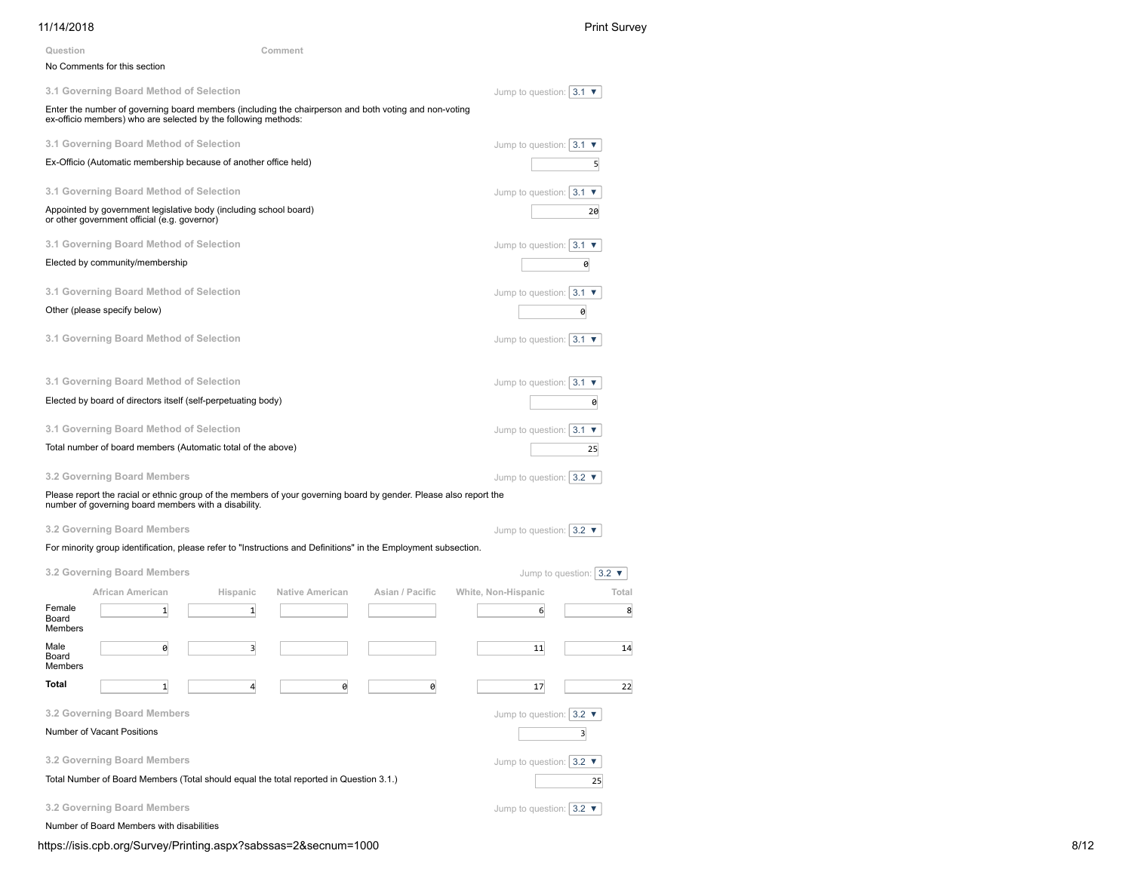## 11/14/2018 Print Survey Jump to question:  $\boxed{3.1 \blacktriangledown}$ Jump to question:  $\boxed{3.1 \blacktriangledown}$ Jump to question:  $3.1$   $\blacktriangledown$ Jump to question:  $3.1$   $\blacktriangledown$ Jump to question:  $\boxed{3.1 \blacktriangledown}$ Jump to question:  $3.1$   $\times$ Jump to question:  $\boxed{3.1 \blacktriangledown}$ Jump to question:  $\boxed{3.1 \blacktriangledown}$ Jump to question:  $3.2$   $\blacktriangledown$ Jump to question:  $3.2$   $\times$ Jump to question:  $3.2$   $\blacktriangledown$ Jump to question:  $3.2$ **Question Comment** No Comments for this section **3.1 Governing Board Method of Selection** Enter the number of governing board members (including the chairperson and both voting and non-voting ex-officio members) who are selected by the following methods: **3.1 Governing Board Method of Selection** Ex-Officio (Automatic membership because of another office held) 5 **3.1 Governing Board Method of Selection** Appointed by government legislative body (including school board) or other government official (e.g. governor) 20 **3.1 Governing Board Method of Selection** Elected by community/membership 0 **3.1 Governing Board Method of Selection** Other (please specify below) and the contract of the contract of the contract of the contract of the contract of the contract of the contract of the contract of the contract of the contract of the contract of the contract **3.1 Governing Board Method of Selection 3.1 Governing Board Method of Selection** Elected by board of directors itself (self-perpetuating body) 0 **3.1 Governing Board Method of Selection** Total number of board members (Automatic total of the above) 25 **3.2 Governing Board Members** Please report the racial or ethnic group of the members of your governing board by gender. Please also report the number of governing board members with a disability. **3.2 Governing Board Members** For minority group identification, please refer to "Instructions and Definitions" in the Employment subsection. **3.2 Governing Board Members African American Hispanic Native American Asian / Pacific White, Non-Hispanic Total** Female Board Members  $1$  1 1 6 8 Male Board Members 0 11 3 3 3 4 **Total** 1 1 4 0 0 0 17 22 **3.2 Governing Board Members** Number of Vacant Positions 3

**3.2 Governing Board Members**

Total Number of Board Members (Total should equal the total reported in Question 3.1.) 25

**3.2 Governing Board Members**

Number of Board Members with disabilities

https://isis.cpb.org/Survey/Printing.aspx?sabssas=2&secnum=1000 8/12

Jump to question:  $\sqrt{3.2 \cdot \mathbf{v}}$ 

Jump to question:  $3.2$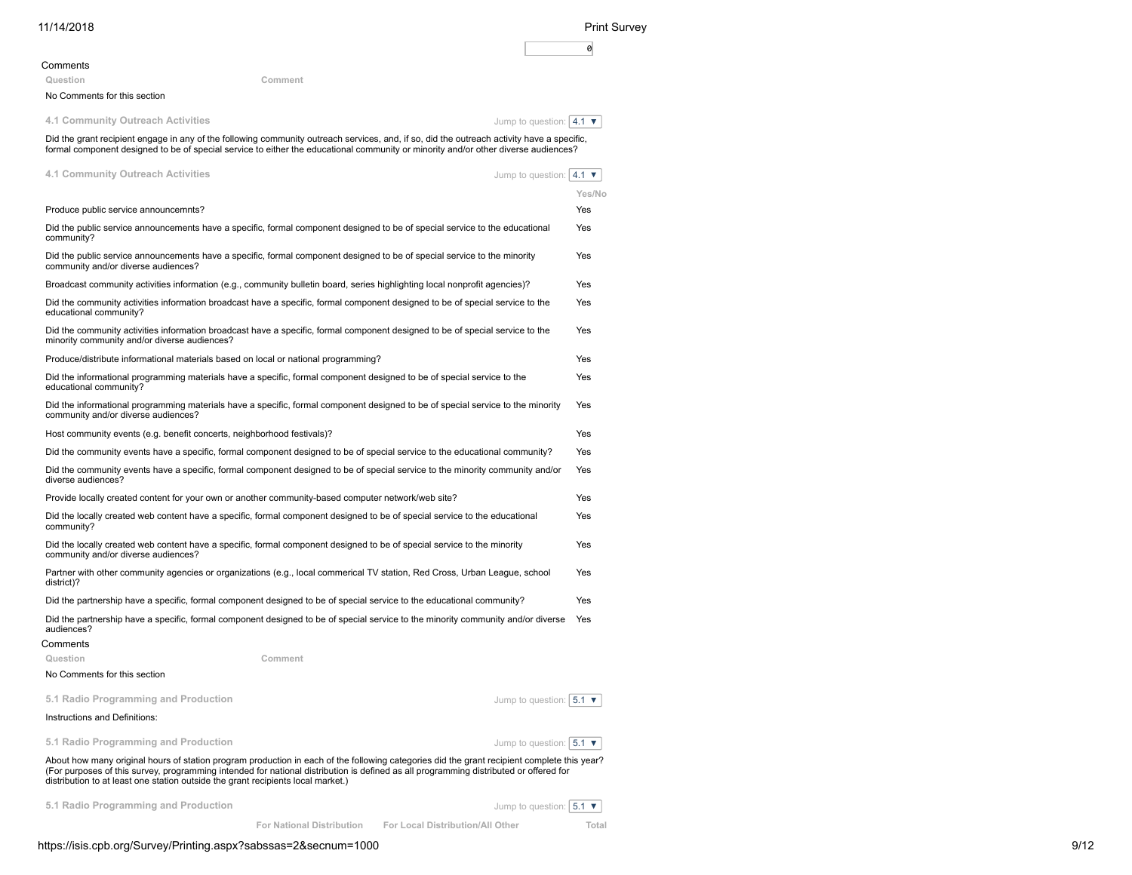| 11/14/2018                                                                                                                                                                                                                                                                       | <b>Print Survey</b>                         |
|----------------------------------------------------------------------------------------------------------------------------------------------------------------------------------------------------------------------------------------------------------------------------------|---------------------------------------------|
|                                                                                                                                                                                                                                                                                  | 0                                           |
| Comments                                                                                                                                                                                                                                                                         |                                             |
| Question<br>Comment                                                                                                                                                                                                                                                              |                                             |
| No Comments for this section                                                                                                                                                                                                                                                     |                                             |
| 4.1 Community Outreach Activities                                                                                                                                                                                                                                                | Jump to question: $ 4.1 \blacktriangledown$ |
| Did the grant recipient engage in any of the following community outreach services, and, if so, did the outreach activity have a specific,<br>formal component designed to be of special service to either the educational community or minority and/or other diverse audiences? |                                             |
| 4.1 Community Outreach Activities                                                                                                                                                                                                                                                | Jump to question: $ 4.1 \blacktriangledown$ |
|                                                                                                                                                                                                                                                                                  | Yes/No                                      |
| Produce public service announcemnts?                                                                                                                                                                                                                                             | Yes                                         |
| Did the public service announcements have a specific, formal component designed to be of special service to the educational<br>community?                                                                                                                                        | Yes                                         |
| Did the public service announcements have a specific, formal component designed to be of special service to the minority<br>community and/or diverse audiences?                                                                                                                  | Yes                                         |
| Broadcast community activities information (e.g., community bulletin board, series highlighting local nonprofit agencies)?                                                                                                                                                       | Yes                                         |
| Did the community activities information broadcast have a specific, formal component designed to be of special service to the<br>educational community?                                                                                                                          | Yes                                         |
| Did the community activities information broadcast have a specific, formal component designed to be of special service to the<br>minority community and/or diverse audiences?                                                                                                    | Yes                                         |
| Produce/distribute informational materials based on local or national programming?                                                                                                                                                                                               | Yes                                         |
| Did the informational programming materials have a specific, formal component designed to be of special service to the<br>educational community?                                                                                                                                 | Yes                                         |
| Did the informational programming materials have a specific, formal component designed to be of special service to the minority<br>community and/or diverse audiences?                                                                                                           | Yes                                         |
| Host community events (e.g. benefit concerts, neighborhood festivals)?                                                                                                                                                                                                           | Yes                                         |
| Did the community events have a specific, formal component designed to be of special service to the educational community?                                                                                                                                                       | Yes                                         |
| Did the community events have a specific, formal component designed to be of special service to the minority community and/or<br>diverse audiences?                                                                                                                              | Yes                                         |
| Provide locally created content for your own or another community-based computer network/web site?                                                                                                                                                                               | Yes                                         |
| Did the locally created web content have a specific, formal component designed to be of special service to the educational<br>community?                                                                                                                                         | Yes                                         |
| Did the locally created web content have a specific, formal component designed to be of special service to the minority<br>community and/or diverse audiences?                                                                                                                   | Yes                                         |
| Partner with other community agencies or organizations (e.g., local commerical TV station, Red Cross, Urban League, school<br>district)?                                                                                                                                         | Yes                                         |
| Did the partnership have a specific, formal component designed to be of special service to the educational community?                                                                                                                                                            | Yes                                         |
| Did the partnership have a specific, formal component designed to be of special service to the minority community and/or diverse<br>audiences?                                                                                                                                   | Yes                                         |
| Comments                                                                                                                                                                                                                                                                         |                                             |
| Comment<br>Question                                                                                                                                                                                                                                                              |                                             |
| No Comments for this section                                                                                                                                                                                                                                                     |                                             |
| 5.1 Radio Programming and Production<br>Jump to question: $  5.1 \blacktriangledown$                                                                                                                                                                                             |                                             |
| Instructions and Definitions:                                                                                                                                                                                                                                                    |                                             |

**5.1 Radio Programming and Production**

Jump to question:  $\boxed{5.1 \blacktriangledown}$ 

About how many original hours of station program production in each of the following categories did the grant recipient complete this year?<br>(For purposes of this survey, programming intended for national distribution is de

**5.1 Radio Programming and Production**

Jump to question:  $\boxed{5.1 \blacktriangledown}$ 

**For National Distribution For Local Distribution/All Other Total**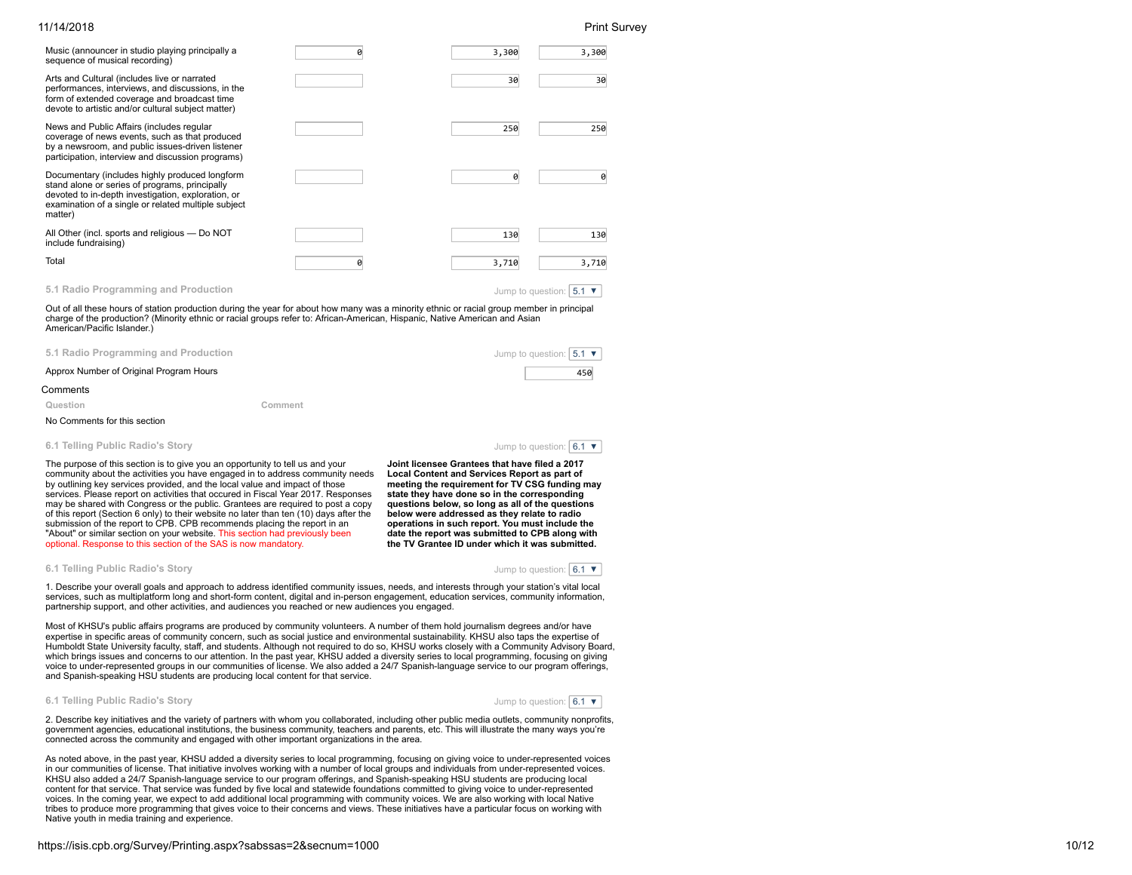| Music (announcer in studio playing principally a<br>sequence of musical recording)                                                                                                                                       | a | 3,300             | 3,300                      |
|--------------------------------------------------------------------------------------------------------------------------------------------------------------------------------------------------------------------------|---|-------------------|----------------------------|
| Arts and Cultural (includes live or narrated<br>performances, interviews, and discussions, in the<br>form of extended coverage and broadcast time<br>devote to artistic and/or cultural subject matter)                  |   | 30                | 30                         |
| News and Public Affairs (includes regular<br>coverage of news events, such as that produced<br>by a newsroom, and public issues-driven listener<br>participation, interview and discussion programs)                     |   | 250               | 250                        |
| Documentary (includes highly produced longform<br>stand alone or series of programs, principally<br>devoted to in-depth investigation, exploration, or<br>examination of a single or related multiple subject<br>matter) |   | 0                 | 0                          |
| All Other (incl. sports and religious - Do NOT<br>include fundraising)                                                                                                                                                   |   | 130               | 130                        |
| Total                                                                                                                                                                                                                    | g | 3,710             | 3,710                      |
| 5.1 Radio Programming and Production                                                                                                                                                                                     |   | Jump to question: | $5.1$ $\blacktriangledown$ |

Out of all these hours of station production during the year for about how many was a minority ethnic or racial group member in principal charge of the production? (Minority ethnic or racial groups refer to: African-American, Hispanic, Native American and Asian American/Pacific Islander.)

| 5.1 Radio Programming and Production    | Jump to question: $ 5.1 \times  $ |
|-----------------------------------------|-----------------------------------|
| Approx Number of Original Program Hours | 450                               |
| Comments                                |                                   |

**Question Comment**

|  | - 1 |  |  |  |
|--|-----|--|--|--|

### No Comments for this section

**6.1 Telling Public Radio's Story**

Jump to question:  $6.1$   $\blacktriangledown$ 

The purpose of this section is to give you an opportunity to tell us and your community about the activities you have engaged in to address community needs by outlining key services provided, and the local value and impact of those services. Please report on activities that occured in Fiscal Year 2017. Responses may be shared with Congress or the public. Grantees are required to post a copy of this report (Section 6 only) to their website no later than ten (10) days after the submission of the report to CPB. CPB recommends placing the report in an "About" or similar section on your website. This section had previously been optional. Response to this section of the SAS is now mandatory.

**Joint licensee Grantees that have filed a 2017 Local Content and Services Report as part of meeting the requirement for TV CSG funding may state they have done so in the corresponding questions below, so long as all of the questions below were addressed as they relate to radio operations in such report. You must include the date the report was submitted to CPB along with the TV Grantee ID under which it was submitted.**

**6.1 Telling Public Radio's Story**

Jump to question:  $6.1$   $\blacktriangledown$ 

1. Describe your overall goals and approach to address identified community issues, needs, and interests through your station's vital local services, such as multiplatform long and short-form content, digital and in-person engagement, education services, community information, partnership support, and other activities, and audiences you reached or new audiences you engaged.

Most of KHSU's public affairs programs are produced by community volunteers. A number of them hold journalism degrees and/or have expertise in specific areas of community concern, such as social justice and environmental sustainability. KHSU also taps the expertise of Humboldt State University faculty, staff, and students. Although not required to do so, KHSU works closely with a Community Advisory Board, which brings issues and concerns to our attention. In the past year, KHSU added a diversity series to local programming, focusing on giving voice to under-represented groups in our communities of license. We also added a 24/7 Spanish-language service to our program offerings, and Spanish-speaking HSU students are producing local content for that service.

### **6.1 Telling Public Radio's Story**



2. Describe key initiatives and the variety of partners with whom you collaborated, including other public media outlets, community nonprofits, government agencies, educational institutions, the business community, teachers and parents, etc. This will illustrate the many ways you're connected across the community and engaged with other important organizations in the area.

As noted above, in the past year, KHSU added a diversity series to local programming, focusing on giving voice to under-represented voices in our communities of license. That initiative involves working with a number of local groups and individuals from under-represented voices. KHSU also added a 24/7 Spanish-language service to our program offerings, and Spanish-speaking HSU students are producing local content for that service. That service was funded by five local and statewide foundations committed to giving voice to under-represented voices. In the coming year, we expect to add additional local programming with community voices. We are also working with local Native tribes to produce more programming that gives voice to their concerns and views. These initiatives have a particular focus on working with Native youth in media training and experience.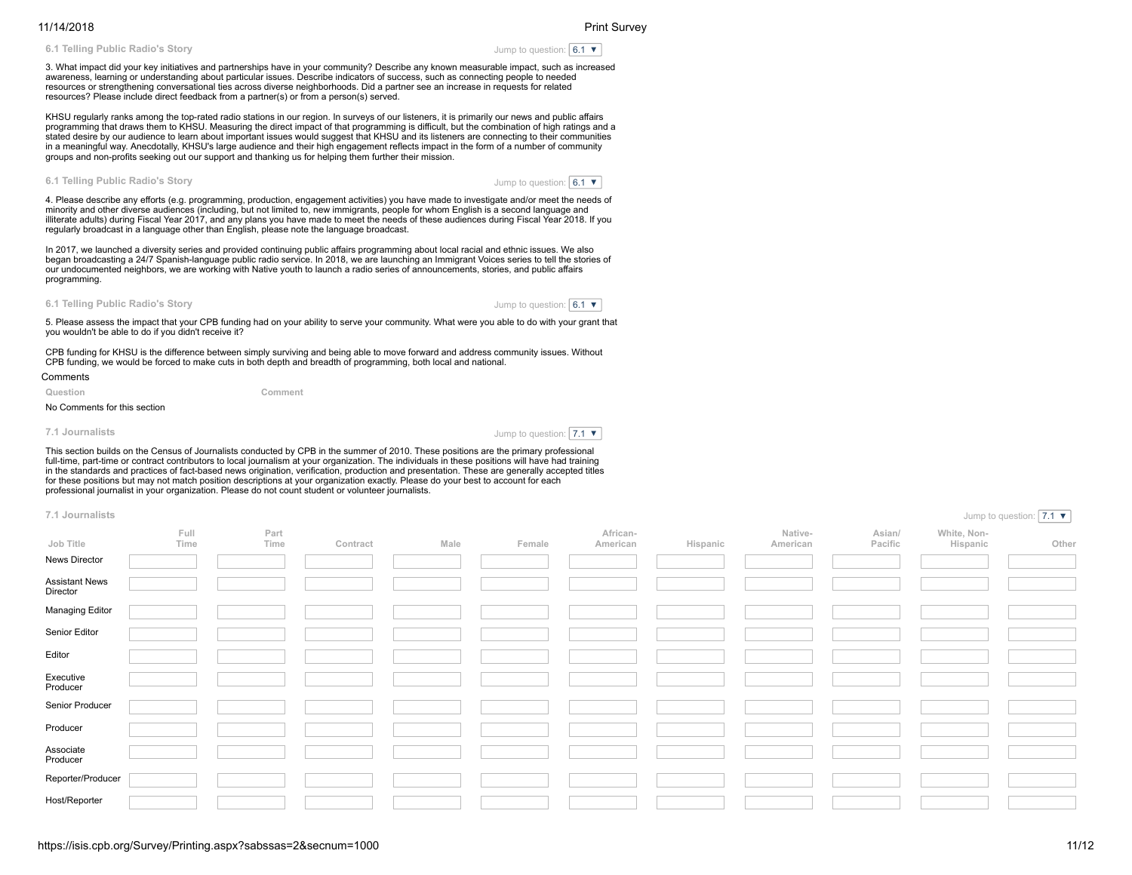**6.1 Telling Public Radio's Story**

Jump to question:  $6.1$   $\blacktriangledown$ 

3. What impact did your key initiatives and partnerships have in your community? Describe any known measurable impact, such as increased awareness, learning or understanding about particular issues. Describe indicators of success, such as connecting people to needed resources or strengthening conversational ties across diverse neighborhoods. Did a partner see an increase in requests for related resources? Please include direct feedback from a partner(s) or from a person(s) served.

KHSU regularly ranks among the top-rated radio stations in our region. In surveys of our listeners, it is primarily our news and public affairs programming that draws them to KHSU. Measuring the direct impact of that programming is difficult, but the combination of high ratings and a stated desire by our audience to learn about important issues would suggest that KHSU and its listeners are connecting to their communities in a meaningful way. Anecdotally, KHSU's large audience and their high engagement reflects impact in the form of a number of community groups and non-profits seeking out our support and thanking us for helping them further their mission.

### **6.1 Telling Public Radio's Story**

Jump to question:  $6.1$   $\times$ 

4. Please describe any efforts (e.g. programming, production, engagement activities) you have made to investigate and/or meet the needs of minority and other diverse audiences (including, but not limited to, new immigrants, people for whom English is a second language and illiterate adults) during Fiscal Year 2017, and any plans you have made to meet the needs of these audiences during Fiscal Year 2018. If you regularly broadcast in a language other than English, please note the language broadcast.

In 2017, we launched a diversity series and provided continuing public affairs programming about local racial and ethnic issues. We also began broadcasting a 24/7 Spanish-language public radio service. In 2018, we are launching an Immigrant Voices series to tell the stories of our undocumented neighbors, we are working with Native youth to launch a radio series of announcements, stories, and public affairs programming.



Jump to question:  $6.1$   $\blacktriangledown$ 

5. Please assess the impact that your CPB funding had on your ability to serve your community. What were you able to do with your grant that you wouldn't be able to do if you didn't receive it?

CPB funding for KHSU is the difference between simply surviving and being able to move forward and address community issues. Without CPB funding, we would be forced to make cuts in both depth and breadth of programming, both local and national.

**Comments** 

**Question Comment**

### No Comments for this section

**7.1 Journalists**

Jump to question:  $7.1$   $\times$ 

This section builds on the Census of Journalists conducted by CPB in the summer of 2010. These positions are the primary professional full-time, part-time or contract contributors to local journalism at your organization. The individuals in these positions will have had training in the standards and practices of fact-based news origination, verification, production and presentation. These are generally accepted titles for these positions but may not match position descriptions at your organization exactly. Please do your best to account for each professional journalist in your organization. Please do not count student or volunteer journalists.

### **7.1 Journalists**

| 7.1 Journalists                   |              |              |          |      |        |                      |          |                     |                   |                         | Jump to question: $ 7.1 \times$ |
|-----------------------------------|--------------|--------------|----------|------|--------|----------------------|----------|---------------------|-------------------|-------------------------|---------------------------------|
| Job Title                         | Full<br>Time | Part<br>Time | Contract | Male | Female | African-<br>American | Hispanic | Native-<br>American | Asian/<br>Pacific | White, Non-<br>Hispanic | Other                           |
| News Director                     |              |              |          |      |        |                      |          |                     |                   |                         |                                 |
| <b>Assistant News</b><br>Director |              |              |          |      |        |                      |          |                     |                   |                         |                                 |
| Managing Editor                   |              |              |          |      |        |                      |          |                     |                   |                         |                                 |
| Senior Editor                     |              |              |          |      |        |                      |          |                     |                   |                         |                                 |
| Editor                            |              |              |          |      |        |                      |          |                     |                   |                         |                                 |
| Executive<br>Producer             |              |              |          |      |        |                      |          |                     |                   |                         |                                 |
| Senior Producer                   |              |              |          |      |        |                      |          |                     |                   |                         |                                 |
| Producer                          |              |              |          |      |        |                      |          |                     |                   |                         |                                 |
| Associate<br>Producer             |              |              |          |      |        |                      |          |                     |                   |                         |                                 |
| Reporter/Producer                 |              |              |          |      |        |                      |          |                     |                   |                         |                                 |
| Host/Reporter                     |              |              |          |      |        |                      |          |                     |                   |                         |                                 |